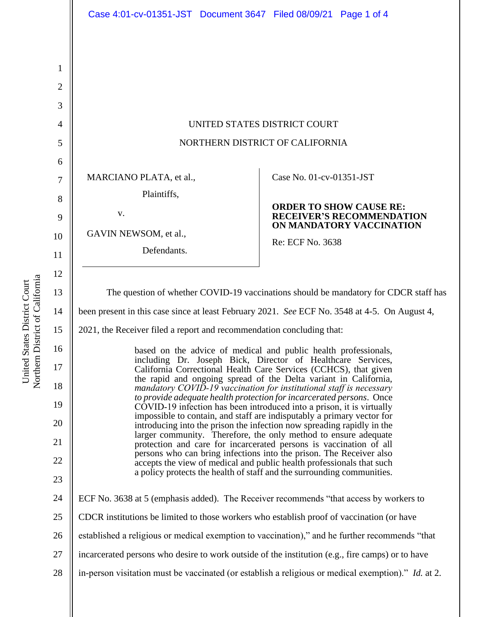| 1              |                                                                                                                                                                                                                                                                                                                                                                                                                                                                                                                                                                                                                                                                                                                                                                                                                                                                                                                                                                                                                       |                                                                                                |
|----------------|-----------------------------------------------------------------------------------------------------------------------------------------------------------------------------------------------------------------------------------------------------------------------------------------------------------------------------------------------------------------------------------------------------------------------------------------------------------------------------------------------------------------------------------------------------------------------------------------------------------------------------------------------------------------------------------------------------------------------------------------------------------------------------------------------------------------------------------------------------------------------------------------------------------------------------------------------------------------------------------------------------------------------|------------------------------------------------------------------------------------------------|
| $\overline{2}$ |                                                                                                                                                                                                                                                                                                                                                                                                                                                                                                                                                                                                                                                                                                                                                                                                                                                                                                                                                                                                                       |                                                                                                |
| 3              |                                                                                                                                                                                                                                                                                                                                                                                                                                                                                                                                                                                                                                                                                                                                                                                                                                                                                                                                                                                                                       |                                                                                                |
| $\overline{4}$ | UNITED STATES DISTRICT COURT                                                                                                                                                                                                                                                                                                                                                                                                                                                                                                                                                                                                                                                                                                                                                                                                                                                                                                                                                                                          |                                                                                                |
| 5              | NORTHERN DISTRICT OF CALIFORNIA                                                                                                                                                                                                                                                                                                                                                                                                                                                                                                                                                                                                                                                                                                                                                                                                                                                                                                                                                                                       |                                                                                                |
| 6              |                                                                                                                                                                                                                                                                                                                                                                                                                                                                                                                                                                                                                                                                                                                                                                                                                                                                                                                                                                                                                       |                                                                                                |
| $\overline{7}$ | MARCIANO PLATA, et al.,                                                                                                                                                                                                                                                                                                                                                                                                                                                                                                                                                                                                                                                                                                                                                                                                                                                                                                                                                                                               | Case No. 01-cv-01351-JST                                                                       |
| 8              | Plaintiffs,                                                                                                                                                                                                                                                                                                                                                                                                                                                                                                                                                                                                                                                                                                                                                                                                                                                                                                                                                                                                           |                                                                                                |
| 9              | V.                                                                                                                                                                                                                                                                                                                                                                                                                                                                                                                                                                                                                                                                                                                                                                                                                                                                                                                                                                                                                    | <b>ORDER TO SHOW CAUSE RE:</b><br><b>RECEIVER'S RECOMMENDATION</b><br>ON MANDATORY VACCINATION |
| 10             | GAVIN NEWSOM, et al.,                                                                                                                                                                                                                                                                                                                                                                                                                                                                                                                                                                                                                                                                                                                                                                                                                                                                                                                                                                                                 | Re: ECF No. 3638                                                                               |
| 11             | Defendants.                                                                                                                                                                                                                                                                                                                                                                                                                                                                                                                                                                                                                                                                                                                                                                                                                                                                                                                                                                                                           |                                                                                                |
| 12             |                                                                                                                                                                                                                                                                                                                                                                                                                                                                                                                                                                                                                                                                                                                                                                                                                                                                                                                                                                                                                       |                                                                                                |
| 13             | The question of whether COVID-19 vaccinations should be mandatory for CDCR staff has                                                                                                                                                                                                                                                                                                                                                                                                                                                                                                                                                                                                                                                                                                                                                                                                                                                                                                                                  |                                                                                                |
| 14             | been present in this case since at least February 2021. See ECF No. 3548 at 4-5. On August 4,                                                                                                                                                                                                                                                                                                                                                                                                                                                                                                                                                                                                                                                                                                                                                                                                                                                                                                                         |                                                                                                |
| 15             | 2021, the Receiver filed a report and recommendation concluding that:                                                                                                                                                                                                                                                                                                                                                                                                                                                                                                                                                                                                                                                                                                                                                                                                                                                                                                                                                 |                                                                                                |
| 16             | based on the advice of medical and public health professionals,<br>including Dr. Joseph Bick, Director of Healthcare Services,<br>California Correctional Health Care Services (CCHCS), that given<br>the rapid and ongoing spread of the Delta variant in California,<br>mandatory COVID-19 vaccination for institutional staff is necessary<br>to provide adequate health protection for incarcerated persons. Once<br>COVID-19 infection has been introduced into a prison, it is virtually<br>impossible to contain, and staff are indisputably a primary vector for<br>introducing into the prison the infection now spreading rapidly in the<br>larger community. Therefore, the only method to ensure adequate<br>protection and care for incarcerated persons is vaccination of all<br>persons who can bring infections into the prison. The Receiver also<br>accepts the view of medical and public health professionals that such<br>a policy protects the health of staff and the surrounding communities. |                                                                                                |
| 17             |                                                                                                                                                                                                                                                                                                                                                                                                                                                                                                                                                                                                                                                                                                                                                                                                                                                                                                                                                                                                                       |                                                                                                |
| 18             |                                                                                                                                                                                                                                                                                                                                                                                                                                                                                                                                                                                                                                                                                                                                                                                                                                                                                                                                                                                                                       |                                                                                                |
| 19             |                                                                                                                                                                                                                                                                                                                                                                                                                                                                                                                                                                                                                                                                                                                                                                                                                                                                                                                                                                                                                       |                                                                                                |
| 20             |                                                                                                                                                                                                                                                                                                                                                                                                                                                                                                                                                                                                                                                                                                                                                                                                                                                                                                                                                                                                                       |                                                                                                |
| 21             |                                                                                                                                                                                                                                                                                                                                                                                                                                                                                                                                                                                                                                                                                                                                                                                                                                                                                                                                                                                                                       |                                                                                                |
| 22             |                                                                                                                                                                                                                                                                                                                                                                                                                                                                                                                                                                                                                                                                                                                                                                                                                                                                                                                                                                                                                       |                                                                                                |
| 23             |                                                                                                                                                                                                                                                                                                                                                                                                                                                                                                                                                                                                                                                                                                                                                                                                                                                                                                                                                                                                                       |                                                                                                |
| 24             | ECF No. 3638 at 5 (emphasis added). The Receiver recommends "that access by workers to                                                                                                                                                                                                                                                                                                                                                                                                                                                                                                                                                                                                                                                                                                                                                                                                                                                                                                                                |                                                                                                |
| 25             | CDCR institutions be limited to those workers who establish proof of vaccination (or have                                                                                                                                                                                                                                                                                                                                                                                                                                                                                                                                                                                                                                                                                                                                                                                                                                                                                                                             |                                                                                                |
| 26             | established a religious or medical exemption to vaccination)," and he further recommends "that                                                                                                                                                                                                                                                                                                                                                                                                                                                                                                                                                                                                                                                                                                                                                                                                                                                                                                                        |                                                                                                |
| 27             | incarcerated persons who desire to work outside of the institution (e.g., fire camps) or to have                                                                                                                                                                                                                                                                                                                                                                                                                                                                                                                                                                                                                                                                                                                                                                                                                                                                                                                      |                                                                                                |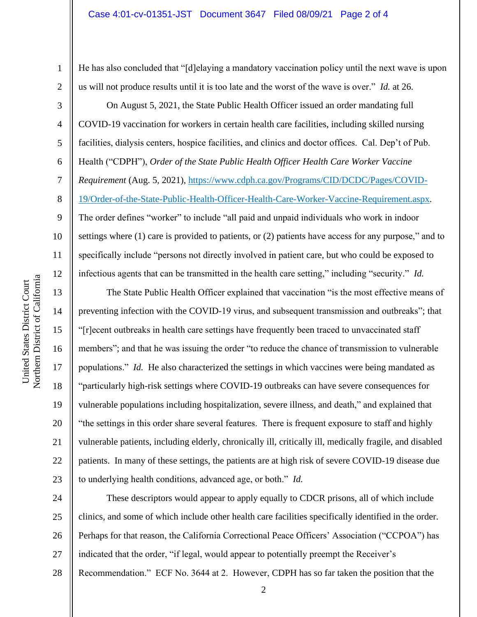He has also concluded that "[d]elaying a mandatory vaccination policy until the next wave is upon us will not produce results until it is too late and the worst of the wave is over." *Id.* at 26.

On August 5, 2021, the State Public Health Officer issued an order mandating full COVID-19 vaccination for workers in certain health care facilities, including skilled nursing facilities, dialysis centers, hospice facilities, and clinics and doctor offices. Cal. Dep't of Pub. Health ("CDPH"), *Order of the State Public Health Officer Health Care Worker Vaccine Requirement* (Aug. 5, 2021), [https://www.cdph.ca.gov/Programs/CID/DCDC/Pages/COVID-](https://www.cdph.ca.gov/Programs/CID/DCDC/Pages/COVID-19/Order-of-the-State-Public-Health-Officer-Health-Care-Worker-Vaccine-Requirement.aspx)[19/Order-of-the-State-Public-Health-Officer-Health-Care-Worker-Vaccine-Requirement.aspx.](https://www.cdph.ca.gov/Programs/CID/DCDC/Pages/COVID-19/Order-of-the-State-Public-Health-Officer-Health-Care-Worker-Vaccine-Requirement.aspx) The order defines "worker" to include "all paid and unpaid individuals who work in indoor settings where (1) care is provided to patients, or (2) patients have access for any purpose," and to specifically include "persons not directly involved in patient care, but who could be exposed to infectious agents that can be transmitted in the health care setting," including "security." *Id.*

The State Public Health Officer explained that vaccination "is the most effective means of preventing infection with the COVID-19 virus, and subsequent transmission and outbreaks"; that "[r]ecent outbreaks in health care settings have frequently been traced to unvaccinated staff members"; and that he was issuing the order "to reduce the chance of transmission to vulnerable populations." *Id.* He also characterized the settings in which vaccines were being mandated as "particularly high-risk settings where COVID-19 outbreaks can have severe consequences for vulnerable populations including hospitalization, severe illness, and death," and explained that "the settings in this order share several features. There is frequent exposure to staff and highly vulnerable patients, including elderly, chronically ill, critically ill, medically fragile, and disabled patients. In many of these settings, the patients are at high risk of severe COVID-19 disease due to underlying health conditions, advanced age, or both." *Id.*

24 25 26 27 These descriptors would appear to apply equally to CDCR prisons, all of which include clinics, and some of which include other health care facilities specifically identified in the order. Perhaps for that reason, the California Correctional Peace Officers' Association ("CCPOA") has indicated that the order, "if legal, would appear to potentially preempt the Receiver's

28 Recommendation." ECF No. 3644 at 2. However, CDPH has so far taken the position that the

1

2

3

4

5

6

7

8

9

10

11

12

13

14

15

16

17

18

19

20

21

22

23

2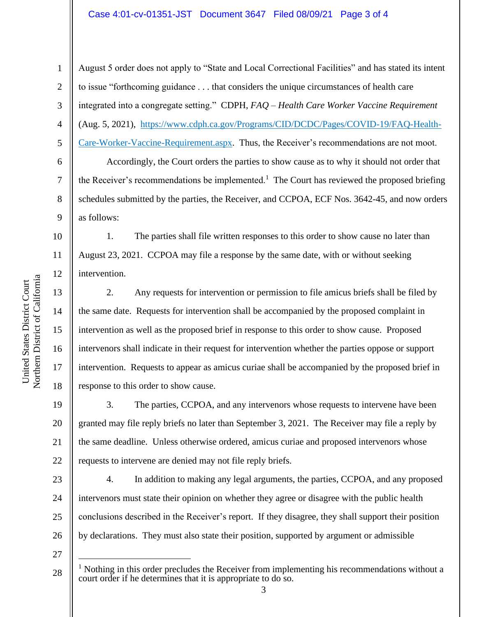## Case 4:01-cv-01351-JST Document 3647 Filed 08/09/21 Page 3 of 4

August 5 order does not apply to "State and Local Correctional Facilities" and has stated its intent to issue "forthcoming guidance . . . that considers the unique circumstances of health care integrated into a congregate setting." CDPH, *FAQ – Health Care Worker Vaccine Requirement* (Aug. 5, 2021), [https://www.cdph.ca.gov/Programs/CID/DCDC/Pages/COVID-19/FAQ-Health-](https://www.cdph.ca.gov/Programs/CID/DCDC/Pages/COVID-19/FAQ-Health-Care-Worker-Vaccine-Requirement.aspx)[Care-Worker-Vaccine-Requirement.aspx.](https://www.cdph.ca.gov/Programs/CID/DCDC/Pages/COVID-19/FAQ-Health-Care-Worker-Vaccine-Requirement.aspx) Thus, the Receiver's recommendations are not moot.

Accordingly, the Court orders the parties to show cause as to why it should not order that the Receiver's recommendations be implemented.<sup>1</sup> The Court has reviewed the proposed briefing schedules submitted by the parties, the Receiver, and CCPOA, ECF Nos. 3642-45, and now orders as follows:

1. The parties shall file written responses to this order to show cause no later than August 23, 2021. CCPOA may file a response by the same date, with or without seeking intervention.

2. Any requests for intervention or permission to file amicus briefs shall be filed by the same date. Requests for intervention shall be accompanied by the proposed complaint in intervention as well as the proposed brief in response to this order to show cause. Proposed intervenors shall indicate in their request for intervention whether the parties oppose or support intervention. Requests to appear as amicus curiae shall be accompanied by the proposed brief in response to this order to show cause.

20 22 3. The parties, CCPOA, and any intervenors whose requests to intervene have been granted may file reply briefs no later than September 3, 2021. The Receiver may file a reply by the same deadline. Unless otherwise ordered, amicus curiae and proposed intervenors whose requests to intervene are denied may not file reply briefs.

23 24 25 26 4. In addition to making any legal arguments, the parties, CCPOA, and any proposed intervenors must state their opinion on whether they agree or disagree with the public health conclusions described in the Receiver's report. If they disagree, they shall support their position by declarations. They must also state their position, supported by argument or admissible

27

1

2

3

4

5

6

7

8

9

10

11

12

13

14

15

16

17

18

19

21

<sup>28</sup>  $<sup>1</sup>$  Nothing in this order precludes the Receiver from implementing his recommendations without a</sup> court order if he determines that it is appropriate to do so.